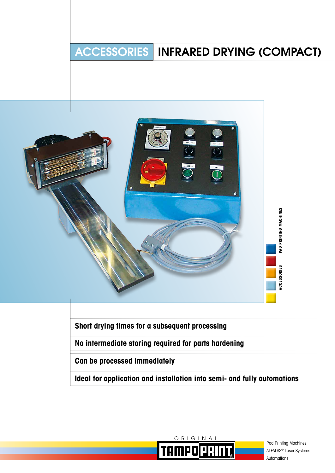# ACCESSORIES INFRARED DRYING (COMPACT)



**Short drying times for a subsequent processing**

**No intermediate storing required for parts hardening**

**Can be processed immediately**

**Ideal for application and installation into semi- and fully automations**



Pad Printing Machines ALFALAS® Laser Systems Automations